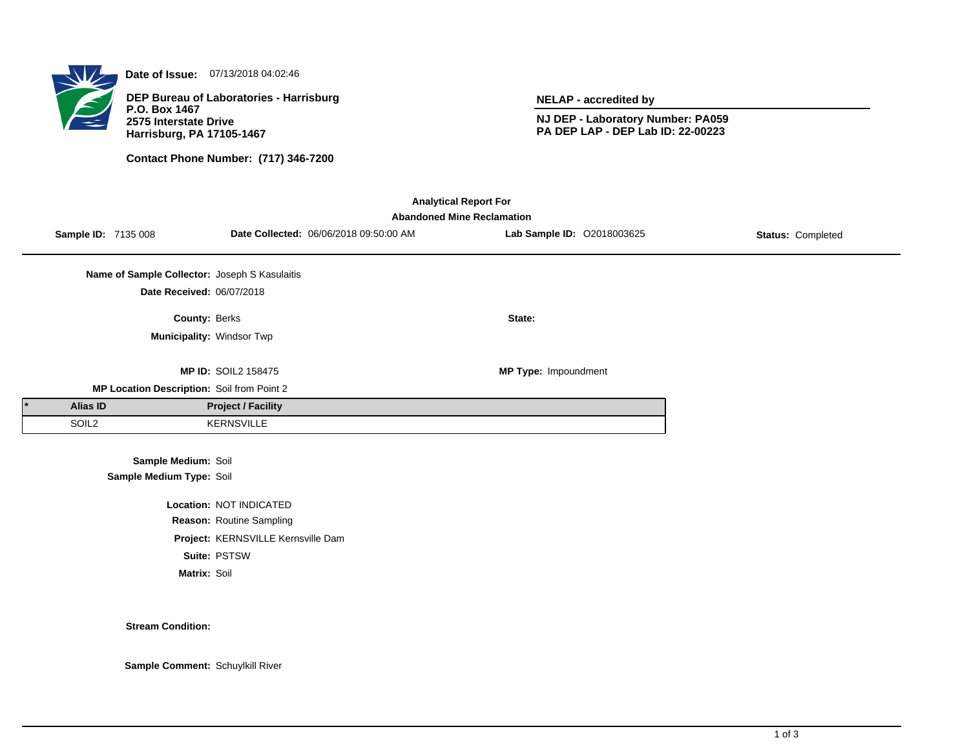

**Date of Issue:** 07/13/2018 04:02:46

**DEP Bureau of Laboratories - Harrisburg P.O. Box 1467 2575 Interstate Drive Harrisburg, PA 17105-1467**

**Contact Phone Number: (717) 346-7200**

**NELAP - accredited by**

**NJ DEP - Laboratory Number: PA059 PA DEP LAP - DEP Lab ID: 22-00223**

| <b>Analytical Report For</b><br><b>Abandoned Mine Reclamation</b> |                            |                                               |                                    |                                        |                            |                   |  |  |  |  |
|-------------------------------------------------------------------|----------------------------|-----------------------------------------------|------------------------------------|----------------------------------------|----------------------------|-------------------|--|--|--|--|
|                                                                   | <b>Sample ID: 7135 008</b> |                                               |                                    | Date Collected: 06/06/2018 09:50:00 AM | Lab Sample ID: 02018003625 | Status: Completed |  |  |  |  |
|                                                                   |                            | Name of Sample Collector: Joseph S Kasulaitis |                                    |                                        |                            |                   |  |  |  |  |
|                                                                   |                            | Date Received: 06/07/2018                     |                                    |                                        |                            |                   |  |  |  |  |
|                                                                   |                            | County: Berks                                 |                                    |                                        | State:                     |                   |  |  |  |  |
|                                                                   |                            | Municipality: Windsor Twp                     |                                    |                                        |                            |                   |  |  |  |  |
|                                                                   |                            |                                               | <b>MP ID: SOIL2 158475</b>         |                                        | MP Type: Impoundment       |                   |  |  |  |  |
|                                                                   |                            | MP Location Description: Soil from Point 2    |                                    |                                        |                            |                   |  |  |  |  |
|                                                                   | Alias ID                   |                                               | <b>Project / Facility</b>          |                                        |                            |                   |  |  |  |  |
|                                                                   | SOIL <sub>2</sub>          |                                               | <b>KERNSVILLE</b>                  |                                        |                            |                   |  |  |  |  |
|                                                                   |                            | Sample Medium: Soil                           |                                    |                                        |                            |                   |  |  |  |  |
|                                                                   |                            | Sample Medium Type: Soil                      |                                    |                                        |                            |                   |  |  |  |  |
|                                                                   |                            |                                               | Location: NOT INDICATED            |                                        |                            |                   |  |  |  |  |
|                                                                   |                            |                                               | Reason: Routine Sampling           |                                        |                            |                   |  |  |  |  |
|                                                                   |                            |                                               | Project: KERNSVILLE Kernsville Dam |                                        |                            |                   |  |  |  |  |

**Suite:** PSTSW

**Matrix:** Soil

**Stream Condition:**

**Sample Comment:** Schuylkill River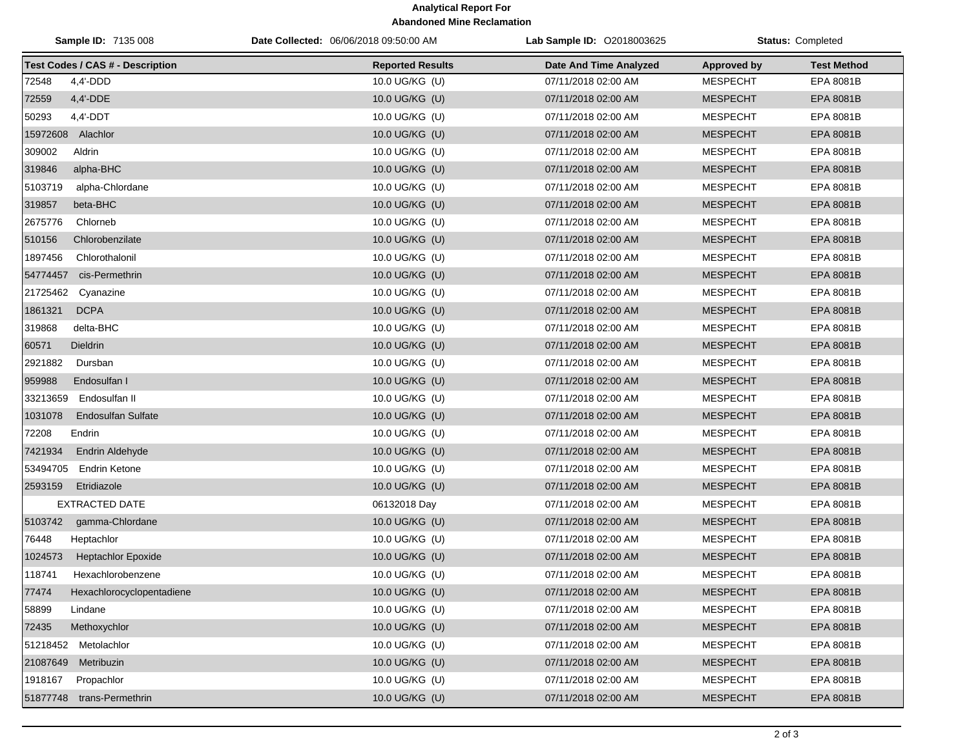## **Analytical Report For Abandoned Mine Reclamation**

| Sample ID: 7135 008                     | Date Collected: 06/06/2018 09:50:00 AM | Lab Sample ID: 02018003625 |                    | <b>Status: Completed</b> |
|-----------------------------------------|----------------------------------------|----------------------------|--------------------|--------------------------|
| <b>Test Codes / CAS # - Description</b> | <b>Reported Results</b>                | Date And Time Analyzed     | <b>Approved by</b> | <b>Test Method</b>       |
| 72548<br>$4,4'$ -DDD                    | 10.0 UG/KG (U)                         | 07/11/2018 02:00 AM        | <b>MESPECHT</b>    | EPA 8081B                |
| 72559<br>4,4'-DDE                       | 10.0 UG/KG (U)                         | 07/11/2018 02:00 AM        | <b>MESPECHT</b>    | EPA 8081B                |
| 50293<br>$4,4'$ -DDT                    | 10.0 UG/KG (U)                         | 07/11/2018 02:00 AM        | <b>MESPECHT</b>    | <b>EPA 8081B</b>         |
| 15972608 Alachlor                       | 10.0 UG/KG (U)                         | 07/11/2018 02:00 AM        | <b>MESPECHT</b>    | EPA 8081B                |
| 309002<br>Aldrin                        | 10.0 UG/KG (U)                         | 07/11/2018 02:00 AM        | <b>MESPECHT</b>    | EPA 8081B                |
| 319846<br>alpha-BHC                     | 10.0 UG/KG (U)                         | 07/11/2018 02:00 AM        | <b>MESPECHT</b>    | EPA 8081B                |
| 5103719<br>alpha-Chlordane              | 10.0 UG/KG (U)                         | 07/11/2018 02:00 AM        | <b>MESPECHT</b>    | EPA 8081B                |
| 319857<br>beta-BHC                      | 10.0 UG/KG (U)                         | 07/11/2018 02:00 AM        | <b>MESPECHT</b>    | EPA 8081B                |
| 2675776<br>Chlorneb                     | 10.0 UG/KG (U)                         | 07/11/2018 02:00 AM        | <b>MESPECHT</b>    | EPA 8081B                |
| 510156<br>Chlorobenzilate               | 10.0 UG/KG (U)                         | 07/11/2018 02:00 AM        | <b>MESPECHT</b>    | EPA 8081B                |
| 1897456<br>Chlorothalonil               | 10.0 UG/KG (U)                         | 07/11/2018 02:00 AM        | <b>MESPECHT</b>    | EPA 8081B                |
| cis-Permethrin<br>54774457              | 10.0 UG/KG (U)                         | 07/11/2018 02:00 AM        | <b>MESPECHT</b>    | EPA 8081B                |
| 21725462<br>Cyanazine                   | 10.0 UG/KG (U)                         | 07/11/2018 02:00 AM        | <b>MESPECHT</b>    | EPA 8081B                |
| 1861321<br><b>DCPA</b>                  | 10.0 UG/KG (U)                         | 07/11/2018 02:00 AM        | <b>MESPECHT</b>    | EPA 8081B                |
| 319868<br>delta-BHC                     | 10.0 UG/KG (U)                         | 07/11/2018 02:00 AM        | <b>MESPECHT</b>    | EPA 8081B                |
| 60571<br><b>Dieldrin</b>                | 10.0 UG/KG (U)                         | 07/11/2018 02:00 AM        | <b>MESPECHT</b>    | EPA 8081B                |
| 2921882<br>Dursban                      | 10.0 UG/KG (U)                         | 07/11/2018 02:00 AM        | <b>MESPECHT</b>    | EPA 8081B                |
| 959988<br>Endosulfan I                  | 10.0 UG/KG (U)                         | 07/11/2018 02:00 AM        | <b>MESPECHT</b>    | EPA 8081B                |
| 33213659<br>Endosulfan II               | 10.0 UG/KG (U)                         | 07/11/2018 02:00 AM        | <b>MESPECHT</b>    | EPA 8081B                |
| 1031078<br><b>Endosulfan Sulfate</b>    | 10.0 UG/KG (U)                         | 07/11/2018 02:00 AM        | <b>MESPECHT</b>    | EPA 8081B                |
| 72208<br>Endrin                         | 10.0 UG/KG (U)                         | 07/11/2018 02:00 AM        | <b>MESPECHT</b>    | EPA 8081B                |
| 7421934<br><b>Endrin Aldehyde</b>       | 10.0 UG/KG (U)                         | 07/11/2018 02:00 AM        | <b>MESPECHT</b>    | EPA 8081B                |
| 53494705<br>Endrin Ketone               | 10.0 UG/KG (U)                         | 07/11/2018 02:00 AM        | <b>MESPECHT</b>    | EPA 8081B                |
| 2593159<br>Etridiazole                  | 10.0 UG/KG (U)                         | 07/11/2018 02:00 AM        | <b>MESPECHT</b>    | EPA 8081B                |
| <b>EXTRACTED DATE</b>                   | 06132018 Day                           | 07/11/2018 02:00 AM        | <b>MESPECHT</b>    | EPA 8081B                |
| 5103742<br>gamma-Chlordane              | 10.0 UG/KG (U)                         | 07/11/2018 02:00 AM        | <b>MESPECHT</b>    | EPA 8081B                |
| 76448<br>Heptachlor                     | 10.0 UG/KG (U)                         | 07/11/2018 02:00 AM        | <b>MESPECHT</b>    | EPA 8081B                |
| 1024573<br><b>Heptachlor Epoxide</b>    | 10.0 UG/KG (U)                         | 07/11/2018 02:00 AM        | <b>MESPECHT</b>    | EPA 8081B                |
| 118741<br>Hexachlorobenzene             | 10.0 UG/KG (U)                         | 07/11/2018 02:00 AM        | <b>MESPECHT</b>    | EPA 8081B                |
| 77474<br>Hexachlorocyclopentadiene      | 10.0 UG/KG (U)                         | 07/11/2018 02:00 AM        | <b>MESPECHT</b>    | EPA 8081B                |
| 58899<br>Lindane                        | 10.0 UG/KG (U)                         | 07/11/2018 02:00 AM        | <b>MESPECHT</b>    | EPA 8081B                |
| Methoxychlor<br>72435                   | 10.0 UG/KG (U)                         | 07/11/2018 02:00 AM        | <b>MESPECHT</b>    | EPA 8081B                |
| 51218452 Metolachlor                    | 10.0 UG/KG (U)                         | 07/11/2018 02:00 AM        | <b>MESPECHT</b>    | EPA 8081B                |
| 21087649<br>Metribuzin                  | 10.0 UG/KG (U)                         | 07/11/2018 02:00 AM        | <b>MESPECHT</b>    | EPA 8081B                |
| 1918167<br>Propachlor                   | 10.0 UG/KG (U)                         | 07/11/2018 02:00 AM        | <b>MESPECHT</b>    | EPA 8081B                |
| 51877748 trans-Permethrin               | 10.0 UG/KG (U)                         | 07/11/2018 02:00 AM        | <b>MESPECHT</b>    | EPA 8081B                |